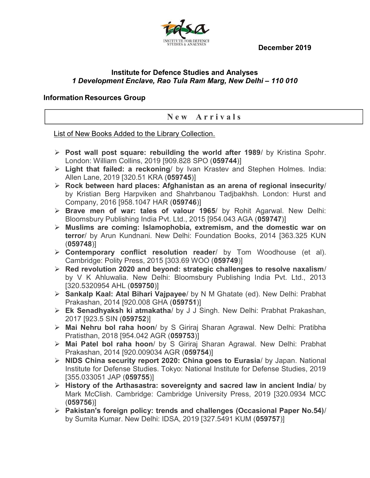December 2019



## Institute for Defence Studies and Analyses 1 Development Enclave, Rao Tula Ram Marg, New Delhi – 110 010

## Information Resources Group

## New Arrivals

## List of New Books Added to the Library Collection.

- $\triangleright$  Post wall post square: rebuilding the world after 1989/ by Kristina Spohr. London: William Collins, 2019 [909.828 SPO (059744)]
- Light that failed: a reckoning/ by Ivan Krastev and Stephen Holmes. India: Allen Lane, 2019 [320.51 KRA (059745)]
- $\triangleright$  Rock between hard places: Afghanistan as an arena of regional insecurity/ by Kristian Berg Harpviken and Shahrbanou Tadjbakhsh. London: Hurst and Company, 2016 [958.1047 HAR (059746)]
- > Brave men of war: tales of valour 1965/ by Rohit Agarwal. New Delhi: Bloomsbury Publishing India Pvt. Ltd., 2015 [954.043 AGA (059747)]
- $\triangleright$  Muslims are coming: Islamophobia, extremism, and the domestic war on terror/ by Arun Kundnani. New Delhi: Foundation Books, 2014 [363.325 KUN (059748)]
- $\triangleright$  Contemporary conflict resolution reader/ by Tom Woodhouse (et al). Cambridge: Polity Press, 2015 [303.69 WOO (059749)]
- $\triangleright$  Red revolution 2020 and beyond: strategic challenges to resolve naxalism/ by V K Ahluwalia. New Delhi: Bloomsbury Publishing India Pvt. Ltd., 2013 [320.5320954 AHL (059750)]
- ▶ Sankalp Kaal: Atal Bihari Vajpayee/ by N M Ghatate (ed). New Delhi: Prabhat Prakashan, 2014 [920.008 GHA (059751)]
- Ek Senadhyaksh ki atmakatha/ by J J Singh. New Delhi: Prabhat Prakashan, 2017 [923.5 SIN (059752)]
- > Mai Nehru bol raha hoon/ by S Giriraj Sharan Agrawal. New Delhi: Pratibha Pratisthan, 2018 [954.042 AGR (059753)]
- > Mai Patel bol raha hoon/ by S Giriraj Sharan Agrawal. New Delhi: Prabhat Prakashan, 2014 [920.009034 AGR (059754)]
- $\triangleright$  NIDS China security report 2020: China goes to Eurasia/ by Japan. National Institute for Defense Studies. Tokyo: National Institute for Defense Studies, 2019 [355.033051 JAP (059755)]
- $\triangleright$  History of the Arthasastra: sovereignty and sacred law in ancient India/ by Mark McClish. Cambridge: Cambridge University Press, 2019 [320.0934 MCC (059756)]
- $\triangleright$  Pakistan's foreign policy: trends and challenges (Occasional Paper No.54)/ by Sumita Kumar. New Delhi: IDSA, 2019 [327.5491 KUM (059757)]